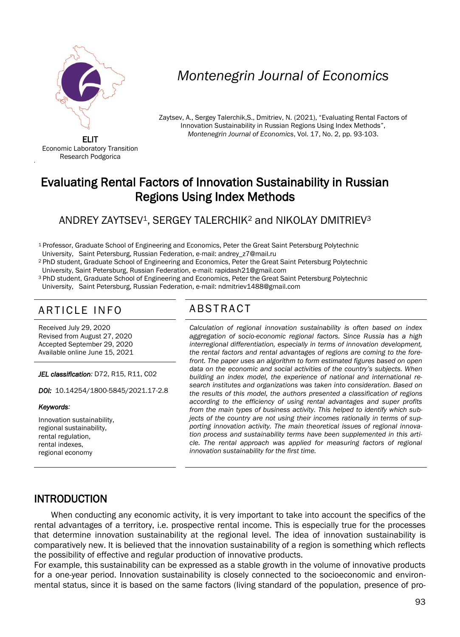

# *Montenegrin Journal of Economics*

Zaytsev, A., Sergey Talerchik,S., Dmitriev, N. (2021), "Evaluating Rental Factors of Innovation Sustainability in Russian Regions Using Index Methods", *Montenegrin Journal of Economics*, Vol. 17, No. 2, pp. 93-103.

ELIT Economic Laboratory Transition Research Podgorica

'

## Evaluating Rental Factors of Innovation Sustainability in Russian Regions Using Index Methods

#### ANDREY ZAYTSEV<sup>1</sup>, SERGEY TALERCHIK<sup>2</sup> and NIKOLAY DMITRIEV<sup>3</sup>

<sup>1</sup> Professor, Graduate School of Engineering and Economics, Peter the Great Saint Petersburg Polytechnic

University, Saint Petersburg, Russian Federation, e-mail: andrey\_z7@mail.ru

<sup>2</sup> PhD student, Graduate School of Engineering and Economics, Peter the Great Saint Petersburg Polytechnic University, Saint Petersburg, Russian Federation, e-mail: rapidash21@gmail.com

<sup>3</sup>PhD student, Graduate School of Engineering and Economics, Peter the Great Saint Petersburg Polytechnic

University, Saint Petersburg, Russian Federation, e-mail: ndmitriev1488@gmail.com

### ARTICLE INFO ABSTRACT

Received July 29, 2020 Revised from August 27, 2020 Accepted September 29, 2020 Available online June 15, 2021

*JEL classification:* D72, R15, R11, С02

*DOI:* 10.14254/1800-5845/2021.17-2.8

#### *Keywords:*

Innovation sustainability, regional sustainability, rental regulation, rental indexes, regional economy

 *Calculation of regional innovation sustainability is often based on index aggregation of socio-economic regional factors. Since Russia has a high interregional differentiation, especially in terms of innovation development, the rental factors and rental advantages of regions are coming to the forefront. The paper uses an algorithm to form estimated figures based on open data on the economic and social activities of the country's subjects. When building an index model, the experience of national and international research institutes and organizations was taken into consideration. Based on the results of this model, the authors presented a classification of regions according to the efficiency of using rental advantages and super profits from the main types of business activity. This helped to identify which subjects of the country are not using their incomes rationally in terms of supporting innovation activity. The main theoretical issues of regional innovation process and sustainability terms have been supplemented in this article. The rental approach was applied for measuring factors of regional innovation sustainability for the first time.* 

#### INTRODUCTION

When conducting any economic activity, it is very important to take into account the specifics of the rental advantages of a territory, i.e. prospective rental income. This is especially true for the processes that determine innovation sustainability at the regional level. The idea of innovation sustainability is comparatively new. It is believed that the innovation sustainability of a region is something which reflects the possibility of effective and regular production of innovative products.

For example, this sustainability can be expressed as a stable growth in the volume of innovative products for a one-year period. Innovation sustainability is closely connected to the socioeconomic and environmental status, since it is based on the same factors (living standard of the population, presence of pro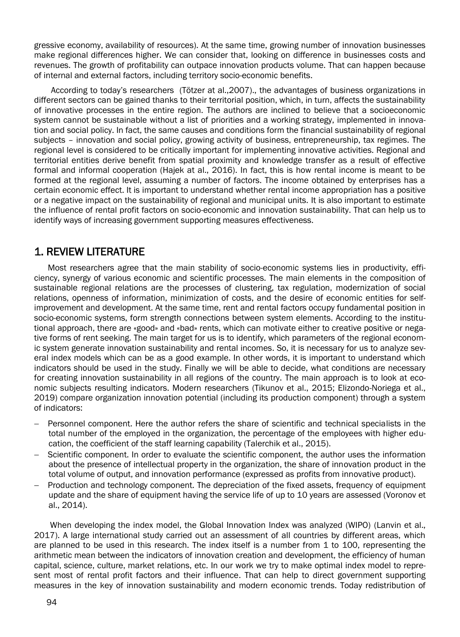gressive economy, availability of resources). At the same time, growing number of innovation businesses make regional differences higher. We can consider that, looking on difference in businesses costs and revenues. The growth of profitability can outpace innovation products volume. That can happen because of internal and external factors, including territory socio-economic benefits.

According to today's researchers (Tötzer at al.,2007)., the advantages of business organizations in different sectors can be gained thanks to their territorial position, which, in turn, affects the sustainability of innovative processes in the entire region. The authors are inclined to believe that a socioeconomic system cannot be sustainable without a list of priorities and a working strategy, implemented in innovation and social policy. In fact, the same causes and conditions form the financial sustainability of regional subjects – innovation and social policy, growing activity of business, entrepreneurship, tax regimes. The regional level is considered to be critically important for implementing innovative activities. Regional and territorial entities derive benefit from spatial proximity and knowledge transfer as a result of effective formal and informal cooperation (Hajek at al., 2016). In fact, this is how rental income is meant to be formed at the regional level, assuming a number of factors. The income obtained by enterprises has a certain economic effect. It is important to understand whether rental income appropriation has a positive or a negative impact on the sustainability of regional and municipal units. It is also important to estimate the influence of rental profit factors on socio-economic and innovation sustainability. That can help us to identify ways of increasing government supporting measures effectiveness.

#### 1. REVIEW LITERATURE

Most researchers agree that the main stability of socio-economic systems lies in productivity, efficiency, synergy of various economic and scientific processes. The main elements in the composition of sustainable regional relations are the processes of clustering, tax regulation, modernization of social relations, openness of information, minimization of costs, and the desire of economic entities for selfimprovement and development. At the same time, rent and rental factors occupy fundamental position in socio-economic systems, form strength connections between system elements. According to the institutional approach, there are «good» and «bad» rents, which can motivate either to creative positive or negative forms of rent seeking. The main target for us is to identify, which parameters of the regional economic system generate innovation sustainability and rental incomes. So, it is necessary for us to analyze several index models which can be as a good example. In other words, it is important to understand which indicators should be used in the study. Finally we will be able to decide, what conditions are necessary for creating innovation sustainability in all regions of the country. The main approach is to look at economic subjects resulting indicators. Modern researchers (Tikunov et al., 2015; Elizondo-Noriega et al., 2019) compare organization innovation potential (including its production component) through a system of indicators:

- Personnel component. Here the author refers the share of scientific and technical specialists in the total number of the employed in the organization, the percentage of the employees with higher education, the coefficient of the staff learning capability (Talerchik et al., 2015).
- Scientific component. In order to evaluate the scientific component, the author uses the information about the presence of intellectual property in the organization, the share of innovation product in the total volume of output, and innovation performance (expressed as profits from innovative product).
- Production and technology component. The depreciation of the fixed assets, frequency of equipment update and the share of equipment having the service life of up to 10 years are assessed (Voronov et al., 2014).

When developing the index model, the Global Innovation Index was analyzed (WIPO) (Lanvin et al., 2017). A large international study carried out an assessment of all countries by different areas, which are planned to be used in this research. The index itself is a number from 1 to 100, representing the arithmetic mean between the indicators of innovation creation and development, the efficiency of human capital, science, culture, market relations, etc. In our work we try to make optimal index model to represent most of rental profit factors and their influence. That can help to direct government supporting measures in the key of innovation sustainability and modern economic trends. Today redistribution of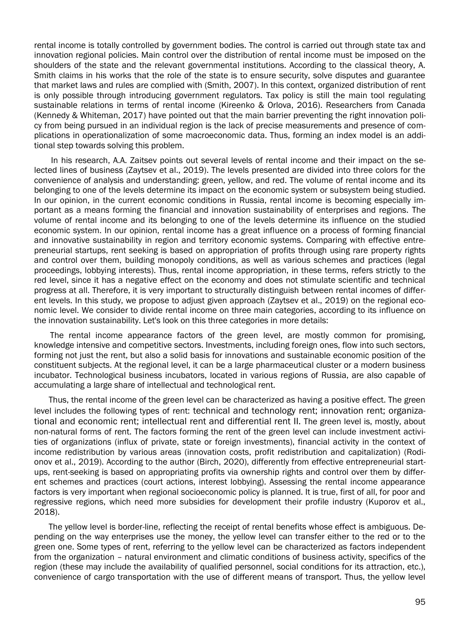rental income is totally controlled by government bodies. The control is carried out through state tax and innovation regional policies. Main control over the distribution of rental income must be imposed on the shoulders of the state and the relevant governmental institutions. According to the classical theory, A. Smith claims in his works that the role of the state is to ensure security, solve disputes and guarantee that market laws and rules are complied with (Smith, 2007). In this context, organized distribution of rent is only possible through introducing government regulators. Tax policy is still the main tool regulating sustainable relations in terms of rental income (Kireenko & Orlova, 2016). Researchers from Canada (Kennedy & Whiteman, 2017) have pointed out that the main barrier preventing the right innovation policy from being pursued in an individual region is the lack of precise measurements and presence of complications in operationalization of some macroeconomic data. Thus, forming an index model is an additional step towards solving this problem.

In his research, A.A. Zaitsev points out several levels of rental income and their impact on the selected lines of business (Zaytsev et al., 2019). The levels presented are divided into three colors for the convenience of analysis and understanding: green, yellow, and red. The volume of rental income and its belonging to one of the levels determine its impact on the economic system or subsystem being studied. In our opinion, in the current economic conditions in Russia, rental income is becoming especially important as a means forming the financial and innovation sustainability of enterprises and regions. The volume of rental income and its belonging to one of the levels determine its influence on the studied economic system. In our opinion, rental income has a great influence on a process of forming financial and innovative sustainability in region and territory economic systems. Comparing with effective entrepreneurial startups, rent seeking is based on appropriation of profits through using rare property rights and control over them, building monopoly conditions, as well as various schemes and practices (legal proceedings, lobbying interests). Thus, rental income appropriation, in these terms, refers strictly to the red level, since it has a negative effect on the economy and does not stimulate scientific and technical progress at all. Therefore, it is very important to structurally distinguish between rental incomes of different levels. In this study, we propose to adjust given approach (Zaytsev et al., 2019) on the regional economic level. We consider to divide rental income on three main categories, according to its influence on the innovation sustainability. Let's look on this three categories in more details:

The rental income appearance factors of the green level, are mostly common for promising, knowledge intensive and competitive sectors. Investments, including foreign ones, flow into such sectors, forming not just the rent, but also a solid basis for innovations and sustainable economic position of the constituent subjects. At the regional level, it can be a large pharmaceutical cluster or a modern business incubator. Technological business incubators, located in various regions of Russia, are also capable of accumulating a large share of intellectual and technological rent.

Thus, the rental income of the green level can be characterized as having a positive effect. The green level includes the following types of rent: technical and technology rent; innovation rent; organizational and economic rent; intellectual rent and differential rent II. The green level is, mostly, about non-natural forms of rent. The factors forming the rent of the green level can include investment activities of organizations (influx of private, state or foreign investments), financial activity in the context of income redistribution by various areas (innovation costs, profit redistribution and capitalization) (Rodionov et al., 2019). According to the author (Birch, 2020), differently from effective entrepreneurial startups, rent-seeking is based on appropriating profits via ownership rights and control over them by different schemes and practices (court actions, interest lobbying). Assessing the rental income appearance factors is very important when regional socioeconomic policy is planned. It is true, first of all, for poor and regressive regions, which need more subsidies for development their profile industry (Kuporov et al., 2018).

The yellow level is border-line, reflecting the receipt of rental benefits whose effect is ambiguous. Depending on the way enterprises use the money, the yellow level can transfer either to the red or to the green one. Some types of rent, referring to the yellow level can be characterized as factors independent from the organization – natural environment and climatic conditions of business activity, specifics of the region (these may include the availability of qualified personnel, social conditions for its attraction, etc.), convenience of cargo transportation with the use of different means of transport. Thus, the yellow level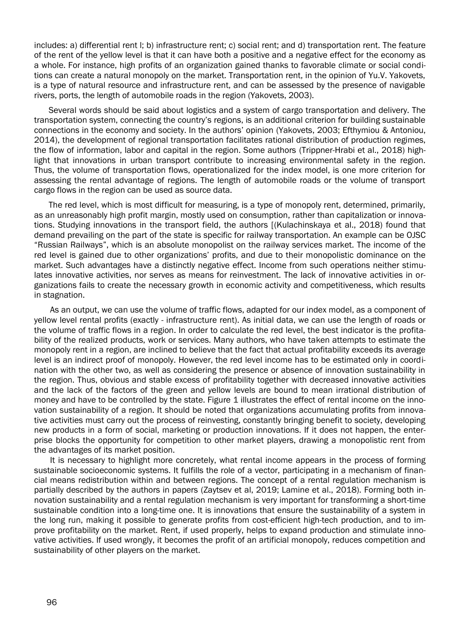includes: a) differential rent l; b) infrastructure rent; c) social rent; and d) transportation rent. The feature of the rent of the yellow level is that it can have both a positive and a negative effect for the economy as a whole. For instance, high profits of an organization gained thanks to favorable climate or social conditions can create a natural monopoly on the market. Transportation rent, in the opinion of Yu.V. Yakovets, is a type of natural resource and infrastructure rent, and can be assessed by the presence of navigable rivers, ports, the length of automobile roads in the region (Yakovets, 2003).

Several words should be said about logistics and a system of cargo transportation and delivery. The transportation system, connecting the country's regions, is an additional criterion for building sustainable connections in the economy and society. In the authors' opinion (Yakovets, 2003; Efthymiou & Antoniou, 2014), the development of regional transportation facilitates rational distribution of production regimes, the flow of information, labor and capital in the region. Some authors (Trippner-Hrabi et al., 2018) highlight that innovations in urban transport contribute to increasing environmental safety in the region. Thus, the volume of transportation flows, operationalized for the index model, is one more criterion for assessing the rental advantage of regions. The length of automobile roads or the volume of transport cargo flows in the region can be used as source data.

The red level, which is most difficult for measuring, is a type of monopoly rent, determined, primarily, as an unreasonably high profit margin, mostly used on consumption, rather than capitalization or innovations. Studying innovations in the transport field, the authors [(Kulachinskaya et al., 2018) found that demand prevailing on the part of the state is specific for railway transportation. An example can be OJSC "Russian Railways", which is an absolute monopolist on the railway services market. The income of the red level is gained due to other organizations' profits, and due to their monopolistic dominance on the market. Such advantages have a distinctly negative effect. Income from such operations neither stimulates innovative activities, nor serves as means for reinvestment. The lack of innovative activities in organizations fails to create the necessary growth in economic activity and competitiveness, which results in stagnation.

As an output, we can use the volume of traffic flows, adapted for our index model, as a component of yellow level rental profits (exactly - infrastructure rent). As initial data, we can use the length of roads or the volume of traffic flows in a region. In order to calculate the red level, the best indicator is the profitability of the realized products, work or services. Many authors, who have taken attempts to estimate the monopoly rent in a region, are inclined to believe that the fact that actual profitability exceeds its average level is an indirect proof of monopoly. However, the red level income has to be estimated only in coordination with the other two, as well as considering the presence or absence of innovation sustainability in the region. Thus, obvious and stable excess of profitability together with decreased innovative activities and the lack of the factors of the green and yellow levels are bound to mean irrational distribution of money and have to be controlled by the state. Figure 1 illustrates the effect of rental income on the innovation sustainability of a region. It should be noted that organizations accumulating profits from innovative activities must carry out the process of reinvesting, constantly bringing benefit to society, developing new products in a form of social, marketing or production innovations. If it does not happen, the enterprise blocks the opportunity for competition to other market players, drawing a monopolistic rent from the advantages of its market position.

It is necessary to highlight more concretely, what rental income appears in the process of forming sustainable socioeconomic systems. It fulfills the role of a vector, participating in a mechanism of financial means redistribution within and between regions. The concept of a rental regulation mechanism is partially described by the authors in papers (Zaytsev et al, 2019; Lamine et al., 2018). Forming both innovation sustainability and a rental regulation mechanism is very important for transforming a short-time sustainable condition into a long-time one. It is innovations that ensure the sustainability of a system in the long run, making it possible to generate profits from cost-efficient high-tech production, and to improve profitability on the market. Rent, if used properly, helps to expand production and stimulate innovative activities. If used wrongly, it becomes the profit of an artificial monopoly, reduces competition and sustainability of other players on the market.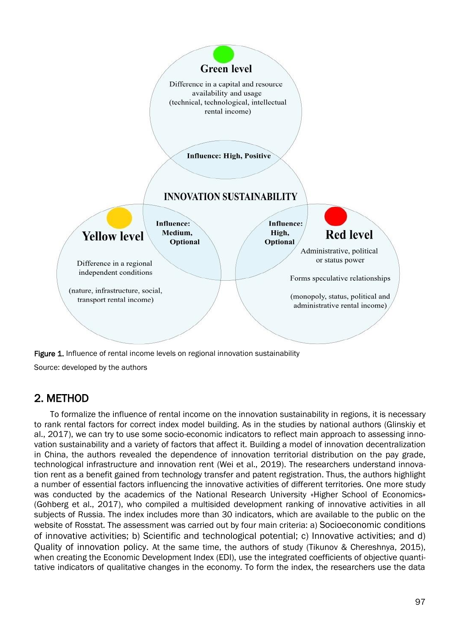

Source: developed by the authors

#### 2. METHOD

To formalize the influence of rental income on the innovation sustainability in regions, it is necessary to rank rental factors for correct index model building. As in the studies by national authors (Glinskiy et al., 2017), we can try to use some socio-economic indicators to reflect main approach to assessing innovation sustainability and a variety of factors that affect it. Building a model of innovation decentralization in China, the authors revealed the dependence of innovation territorial distribution on the pay grade, technological infrastructure and innovation rent (Wei et al., 2019). The researchers understand innovation rent as a benefit gained from technology transfer and patent registration. Thus, the authors highlight a number of essential factors influencing the innovative activities of different territories. One more study was conducted by the academics of the National Research University «Higher School of Economics» (Gohberg et al., 2017), who compiled a multisided development ranking of innovative activities in all subjects of Russia. The index includes more than 30 indicators, which are available to the public on the website of Rosstat. The assessment was carried out by four main criteria: a) Socioeconomic conditions of innovative activities; b) Scientific and technological potential; c) Innovative activities; and d) Quality of innovation policy. At the same time, the authors of study (Tikunov & Chereshnya, 2015), when creating the Economic Development Index (EDI), use the integrated coefficients of objective quantitative indicators of qualitative changes in the economy. To form the index, the researchers use the data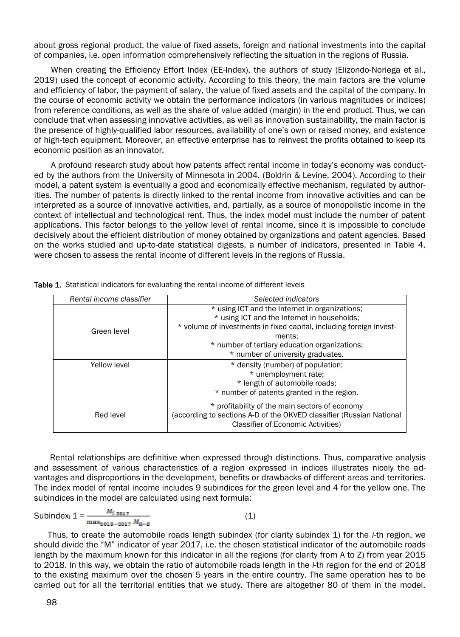about gross regional product, the value of fixed assets, foreign and national investments into the capital of companies, i.e. open information comprehensively reflecting the situation in the regions of Russia.

When creating the Efficiency Effort Index (EE-Index), the authors of study (Elizondo-Noriega et al., 2019) used the concept of economic activity. According to this theory, the main factors are the volume and efficiency of labor, the payment of salary, the value of fixed assets and the capital of the company. In the course of economic activity we obtain the performance indicators (in various magnitudes or indices) from reference conditions, as well as the share of value added (margin) in the end product. Thus, we can conclude that when assessing innovative activities, as well as innovation sustainability, the main factor is the presence of highly-qualified labor resources, availability of one's own or raised money, and existence of high-tech equipment. Moreover, an effective enterprise has to reinvest the profits obtained to keep its economic position as an innovator.

A profound research study about how patents affect rental income in today's economy was conducted by the authors from the University of Minnesota in 2004. (Boldrin & Levine, 2004). According to their model, a patent system is eventually a good and economically effective mechanism, regulated by authorities. The number of patents is directly linked to the rental income from innovative activities and can be interpreted as a source of innovative activities, and, partially, as a source of monopolistic income in the context of intellectual and technological rent. Thus, the index model must include the number of patent applications. This factor belongs to the yellow level of rental income, since it is impossible to conclude decisively about the efficient distribution of money obtained by organizations and patent agencies. Based on the works studied and up-to-date statistical digests, a number of indicators, presented in Table 4, were chosen to assess the rental income of different levels in the regions of Russia.

| Rental income classifier | Selected indicators                                                                                                                                                 |  |
|--------------------------|---------------------------------------------------------------------------------------------------------------------------------------------------------------------|--|
|                          | * using ICT and the Internet in organizations;                                                                                                                      |  |
|                          | * using ICT and the Internet in households;                                                                                                                         |  |
| Green level              | * volume of investments in fixed capital, including foreign invest-                                                                                                 |  |
|                          | ments:                                                                                                                                                              |  |
|                          | * number of tertiary education organizations;                                                                                                                       |  |
|                          | * number of university graduates.                                                                                                                                   |  |
| Yellow level             | * density (number) of population;                                                                                                                                   |  |
|                          | * unemployment rate;                                                                                                                                                |  |
|                          | * length of automobile roads;                                                                                                                                       |  |
|                          | * number of patents granted in the region.                                                                                                                          |  |
| Red level                | * profitability of the main sectors of economy<br>(according to sections A-D of the OKVED classifier (Russian National<br><b>Classifier of Economic Activities)</b> |  |

Table 1. Statistical indicators for evaluating the rental income of different levels

Rental relationships are definitive when expressed through distinctions. Thus, comparative analysis and assessment of various characteristics of a region expressed in indices illustrates nicely the advantages and disproportions in the development, benefits or drawbacks of different areas and territories. The index model of rental income includes 9 subindices for the green level and 4 for the yellow one. The subindices in the model are calculated using next formula:

Subindex<sub>i</sub>  $1 = \frac{M_{i \text{2017}}}{\max_{2018 - 2017} M_{a-z}}$  (1)

Thus, to create the automobile roads length subindex (for clarity subindex 1) for the *i*-th region, we should divide the "M" indicator of year 2017, i.e. the chosen statistical indicator of the automobile roads length by the maximum known for this indicator in all the regions (for clarity from A to Z) from year 2015 to 2018. In this way, we obtain the ratio of automobile roads length in the *i*-th region for the end of 2018 to the existing maximum over the chosen 5 years in the entire country. The same operation has to be carried out for all the territorial entities that we study. There are altogether 80 of them in the model.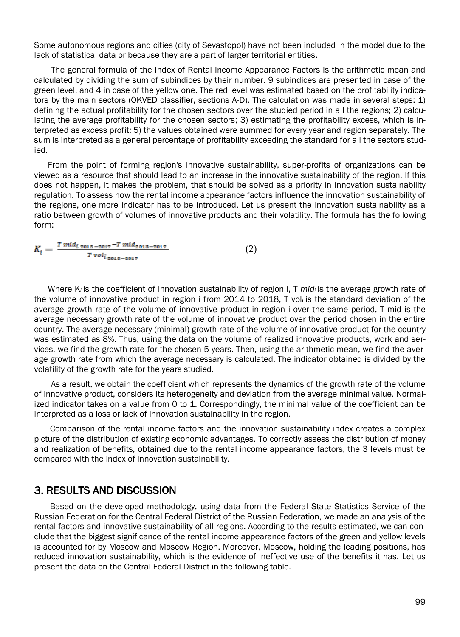Some autonomous regions and cities (city of Sevastopol) have not been included in the model due to the lack of statistical data or because they are a part of larger territorial entities.

The general formula of the Index of Rental Income Appearance Factors is the arithmetic mean and calculated by dividing the sum of subindices by their number. 9 subindices are presented in case of the green level, and 4 in case of the yellow one. The red level was estimated based on the profitability indicators by the main sectors (OKVED classifier, sections A-D). The calculation was made in several steps: 1) defining the actual profitability for the chosen sectors over the studied period in all the regions; 2) calculating the average profitability for the chosen sectors; 3) estimating the profitability excess, which is interpreted as excess profit; 5) the values obtained were summed for every year and region separately. The sum is interpreted as a general percentage of profitability exceeding the standard for all the sectors studied.

From the point of forming region's innovative sustainability, super-profits of organizations can be viewed as a resource that should lead to an increase in the innovative sustainability of the region. If this does not happen, it makes the problem, that should be solved as a priority in innovation sustainability regulation. To assess how the rental income appearance factors influence the innovation sustainability of the regions, one more indicator has to be introduced. Let us present the innovation sustainability as a ratio between growth of volumes of innovative products and their volatility. The formula has the following form:

 $K_i = \frac{T \, mid_{i \, 2013 - 2017} - T \, mid_{2013 - 2017}}{T \, vol_{i \, 2013 - 2017}}$ (2)

Where K*i* is the coefficient of innovation sustainability of region i, T *mid<sup>i</sup>* is the average growth rate of the volume of innovative product in region i from 2014 to 2018, T voli is the standard deviation of the average growth rate of the volume of innovative product in region i over the same period, T mid is the average necessary growth rate of the volume of innovative product over the period chosen in the entire country. The average necessary (minimal) growth rate of the volume of innovative product for the country was estimated as 8%. Thus, using the data on the volume of realized innovative products, work and services, we find the growth rate for the chosen 5 years. Then, using the arithmetic mean, we find the average growth rate from which the average necessary is calculated. The indicator obtained is divided by the volatility of the growth rate for the years studied.

As a result, we obtain the coefficient which represents the dynamics of the growth rate of the volume of innovative product, considers its heterogeneity and deviation from the average minimal value. Normalized indicator takes on a value from 0 to 1. Correspondingly, the minimal value of the coefficient can be interpreted as a loss or lack of innovation sustainability in the region.

Comparison of the rental income factors and the innovation sustainability index creates a complex picture of the distribution of existing economic advantages. To correctly assess the distribution of money and realization of benefits, obtained due to the rental income appearance factors, the 3 levels must be compared with the index of innovation sustainability.

#### 3. RESULTS AND DISCUSSION

Based on the developed methodology, using data from the Federal State Statistics Service of the Russian Federation for the Central Federal District of the Russian Federation, we made an analysis of the rental factors and innovative sustainability of all regions. According to the results estimated, we can conclude that the biggest significance of the rental income appearance factors of the green and yellow levels is accounted for by Moscow and Moscow Region. Moreover, Moscow, holding the leading positions, has reduced innovation sustainability, which is the evidence of ineffective use of the benefits it has. Let us present the data on the Central Federal District in the following table.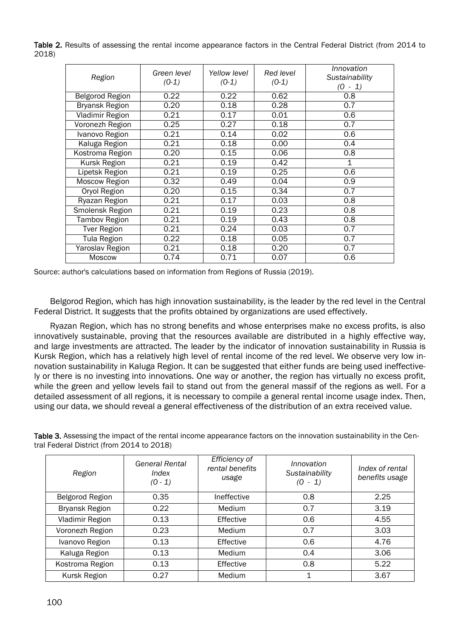Table 2. Results of assessing the rental income appearance factors in the Central Federal District (from 2014 to 2018)

| Region               | Green level<br>$(0-1)$ | Yellow level<br>$(0-1)$ | Red level<br>$(0-1)$ | Innovation<br>Sustainability<br>10<br>$-1)$ |
|----------------------|------------------------|-------------------------|----------------------|---------------------------------------------|
| Belgorod Region      | 0.22                   | 0.22                    | 0.62                 | 0.8                                         |
| Bryansk Region       | 0.20                   | 0.18                    | 0.28                 | 0.7                                         |
| Vladimir Region      | 0.21                   | 0.17                    | 0.01                 | 0.6                                         |
| Voronezh Region      | 0.25                   | 0.27                    | 0.18                 | 0.7                                         |
| Ivanovo Region       | 0.21                   | 0.14                    | 0.02                 | 0.6                                         |
| Kaluga Region        | 0.21                   | 0.18                    | 0.00                 | 0.4                                         |
| Kostroma Region      | 0.20                   | 0.15                    | 0.06                 | 0.8                                         |
| Kursk Region         | 0.21                   | 0.19                    | 0.42                 | 1                                           |
| Lipetsk Region       | 0.21                   | 0.19                    | 0.25                 | 0.6                                         |
| Moscow Region        | 0.32                   | 0.49                    | 0.04                 | 0.9                                         |
| Oryol Region         | 0.20                   | 0.15                    | 0.34                 | 0.7                                         |
| Ryazan Region        | 0.21                   | 0.17                    | 0.03                 | 0.8                                         |
| Smolensk Region      | 0.21                   | 0.19                    | 0.23                 | 0.8                                         |
| <b>Tambov Region</b> | 0.21                   | 0.19                    | 0.43                 | 0.8                                         |
| <b>Tver Region</b>   | 0.21                   | 0.24                    | 0.03                 | 0.7                                         |
| <b>Tula Region</b>   | 0.22                   | 0.18                    | 0.05                 | 0.7                                         |
| Yaroslav Region      | 0.21                   | 0.18                    | 0.20                 | 0.7                                         |
| <b>Moscow</b>        | 0.74                   | 0.71                    | 0.07                 | 0.6                                         |

Source: author's calculations based on information from Regions of Russia (2019).

Belgorod Region, which has high innovation sustainability, is the leader by the red level in the Central Federal District. It suggests that the profits obtained by organizations are used effectively.

Ryazan Region, which has no strong benefits and whose enterprises make no excess profits, is also innovatively sustainable, proving that the resources available are distributed in a highly effective way, and large investments are attracted. The leader by the indicator of innovation sustainability in Russia is Kursk Region, which has a relatively high level of rental income of the red level. We observe very low innovation sustainability in Kaluga Region. It can be suggested that either funds are being used ineffectively or there is no investing into innovations. One way or another, the region has virtually no excess profit, while the green and yellow levels fail to stand out from the general massif of the regions as well. For a detailed assessment of all regions, it is necessary to compile a general rental income usage index. Then, using our data, we should reveal a general effectiveness of the distribution of an extra received value.

Table 3. Assessing the impact of the rental income appearance factors on the innovation sustainability in the Central Federal District (from 2014 to 2018)

| Region          | <b>General Rental</b><br>Index<br>$(0 - 1)$ | <b>Efficiency of</b><br>rental benefits<br>usage | Innovation<br>Sustainability<br>$(0 - 1)$ | Index of rental<br>benefits usage |
|-----------------|---------------------------------------------|--------------------------------------------------|-------------------------------------------|-----------------------------------|
| Belgorod Region | 0.35                                        | Ineffective                                      | 0.8                                       | 2.25                              |
| Bryansk Region  | 0.22                                        | Medium                                           | 0.7                                       | 3.19                              |
| Vladimir Region | 0.13                                        | Effective                                        | 0.6                                       | 4.55                              |
| Voronezh Region | 0.23                                        | Medium                                           | 0.7                                       | 3.03                              |
| Ivanovo Region  | 0.13                                        | Effective                                        | 0.6                                       | 4.76                              |
| Kaluga Region   | 0.13                                        | Medium                                           | 0.4                                       | 3.06                              |
| Kostroma Region | 0.13                                        | Effective                                        | 0.8                                       | 5.22                              |
| Kursk Region    | 0.27                                        | Medium                                           | 1                                         | 3.67                              |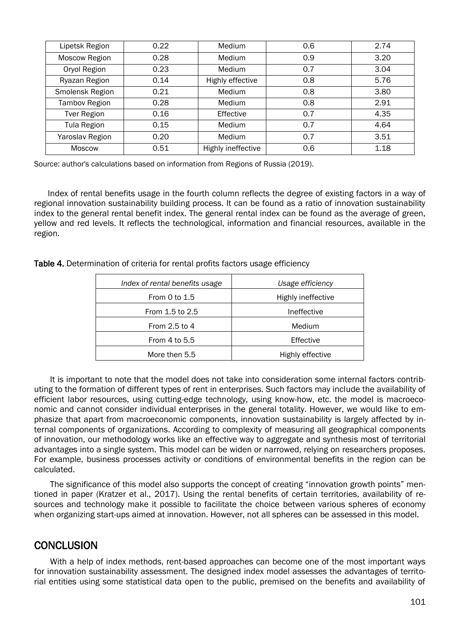| Lipetsk Region     | 0.22 | <b>Medium</b>      | 0.6 | 2.74 |
|--------------------|------|--------------------|-----|------|
| Moscow Region      | 0.28 | <b>Medium</b>      | 0.9 | 3.20 |
| Oryol Region       | 0.23 | <b>Medium</b>      | 0.7 | 3.04 |
| Ryazan Region      | 0.14 | Highly effective   | 0.8 | 5.76 |
| Smolensk Region    | 0.21 | <b>Medium</b>      | 0.8 | 3.80 |
| Tambov Region      | 0.28 | Medium             | 0.8 | 2.91 |
| <b>Tver Region</b> | 0.16 | Effective          | 0.7 | 4.35 |
| Tula Region        | 0.15 | <b>Medium</b>      | 0.7 | 4.64 |
| Yaroslav Region    | 0.20 | Medium             | 0.7 | 3.51 |
| <b>Moscow</b>      | 0.51 | Highly ineffective | 0.6 | 1.18 |

Source: author's calculations based on information from Regions of Russia (2019).

Index of rental benefits usage in the fourth column reflects the degree of existing factors in a way of regional innovation sustainability building process. It can be found as a ratio of innovation sustainability index to the general rental benefit index. The general rental index can be found as the average of green, yellow and red levels. It reflects the technological, information and financial resources, available in the region.

Table 4. Determination of criteria for rental profits factors usage efficiency

| Index of rental benefits usage | Usage efficiency   |  |
|--------------------------------|--------------------|--|
| From 0 to $1.5$                | Highly ineffective |  |
| From 1.5 to 2.5                | Ineffective        |  |
| From 2.5 to 4                  | Medium             |  |
| From 4 to $5.5$                | Effective          |  |
| More then 5.5                  | Highly effective   |  |

It is important to note that the model does not take into consideration some internal factors contributing to the formation of different types of rent in enterprises. Such factors may include the availability of efficient labor resources, using cutting-edge technology, using know-how, etc. the model is macroeconomic and cannot consider individual enterprises in the general totality. However, we would like to emphasize that apart from macroeconomic components, innovation sustainability is largely affected by internal components of organizations. According to complexity of measuring all geographical components of innovation, our methodology works like an effective way to aggregate and synthesis most of territorial advantages into a single system. This model can be widen or narrowed, relying on researchers proposes. For example, business processes activity or conditions of environmental benefits in the region can be calculated.

The significance of this model also supports the concept of creating "innovation growth points" mentioned in paper (Kratzer et al., 2017). Using the rental benefits of certain territories, availability of resources and technology make it possible to facilitate the choice between various spheres of economy when organizing start-ups aimed at innovation. However, not all spheres can be assessed in this model.

#### **CONCLUSION**

With a help of index methods, rent-based approaches can become one of the most important ways for innovation sustainability assessment. The designed index model assesses the advantages of territorial entities using some statistical data open to the public, premised on the benefits and availability of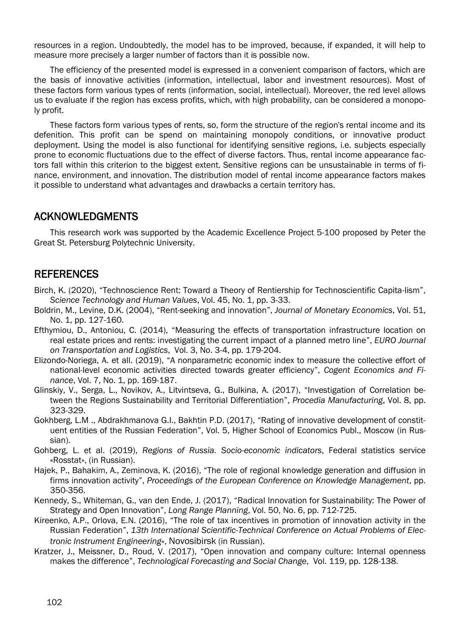resources in a region. Undoubtedly, the model has to be improved, because, if expanded, it will help to measure more precisely a larger number of factors than it is possible now.

The efficiency of the presented model is expressed in a convenient comparison of factors, which are the basis of innovative activities (information, intellectual, labor and investment resources). Most of these factors form various types of rents (information, social, intellectual). Moreover, the red level allows us to evaluate if the region has excess profits, which, with high probability, can be considered a monopoly profit.

These factors form various types of rents, so, form the structure of the region's rental income and its defenition. This profit can be spend on maintaining monopoly conditions, or innovative product deployment. Using the model is also functional for identifying sensitive regions, i.e. subjects especially prone to economic fluctuations due to the effect of diverse factors. Thus, rental income appearance factors fall within this criterion to the biggest extent. Sensitive regions can be unsustainable in terms of finance, environment, and innovation. The distribution model of rental income appearance factors makes it possible to understand what advantages and drawbacks a certain territory has.

#### ACKNOWLEDGMENTS

This research work was supported by the Academic Excellence Project 5-100 proposed by Peter the Great St. Petersburg Polytechnic University.

#### REFERENCES

- Birch, K. (2020), "Technoscience Rent: Toward a Theory of Rentiership for Technoscientific Capita-lism", *Science Technology and Human Values*, Vol. 45, No. 1, pp. 3-33.
- Boldrin, M., Levine, D.K. (2004), "Rent-seeking and innovation", *Journal of Monetary Economics*, Vol. 51, No. 1, pp. 127-160.
- Efthymiou, D., Antoniou, C. (2014), "Measuring the effects of transportation infrastructure location on real estate prices and rents: investigating the current impact of a planned metro line", *EURO Journal on Transportation and Logistics*, Vol. 3, No. 3-4, pp. 179-204.
- Elizondo-Noriega, A. et all. (2019), "A nonparametric economic index to measure the collective effort of national-level economic activities directed towards greater efficiency", *Cogent Economics and Finance*, Vol. 7, No. 1, pp. 169-187.
- Glinskiy, V., Serga, L., Novikov, A., Litvintseva, G., Bulkina, A. (2017), "Investigation of Correlation between the Regions Sustainability and Territorial Differentiation", *Procedia Manufacturing*, Vol. 8, pp. 323-329.
- Gokhberg, L.M ., Abdrakhmanova G.I., Bakhtin P.D. (2017), "Rating of innovative development of constituent entities of the Russian Federation", Vol. 5, Higher School of Economics Publ., Moscow (in Russian).
- Gohberg, L. et al. (2019), *Regions of Russia. Socio-economic indicators*, Federal statistics service «Rosstat», (in Russian).
- Hajek, P., Bahakim, A., Zeminova, K. (2016), "The role of regional knowledge generation and diffusion in firms innovation activity", *Proceedings of the European Conference on Knowledge Management*, pp. 350-356.
- Kennedy, S., Whiteman, G., van den Ende, J. (2017), "Radical Innovation for Sustainability: The Power of Strategy and Open Innovation", *Long Range Planning*, Vol. 50, No. 6, pp. 712-725.
- Kireenko, A.P., Orlova, E.N. (2016), "The role of tax incentives in promotion of innovation activity in the Russian Federation", *13th International Scientific-Technical Conference on Actual Problems of Electronic Instrument Engineering*», Novosibirsk (in Russian).
- Kratzer, J., Meissner, D., Roud, V. (2017), "Open innovation and company culture: Internal openness makes the difference", *Technological Forecasting and Social Change*, Vol. 119, pp. 128-138.